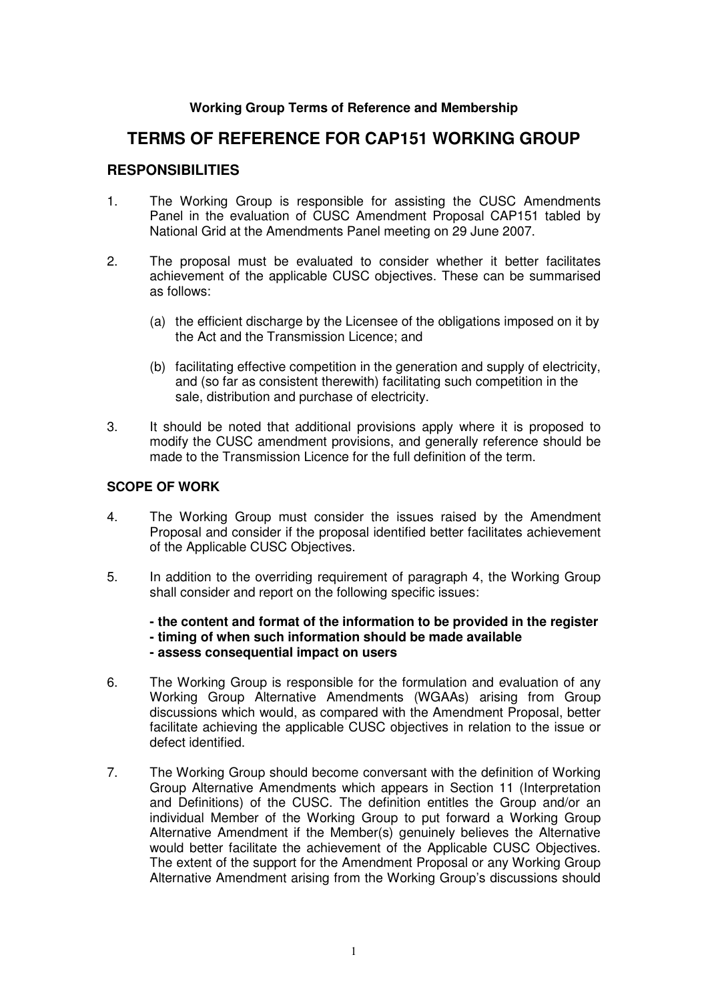# **Working Group Terms of Reference and Membership**

# **TERMS OF REFERENCE FOR CAP151 WORKING GROUP**

# **RESPONSIBILITIES**

- 1. The Working Group is responsible for assisting the CUSC Amendments Panel in the evaluation of CUSC Amendment Proposal CAP151 tabled by National Grid at the Amendments Panel meeting on 29 June 2007.
- 2. The proposal must be evaluated to consider whether it better facilitates achievement of the applicable CUSC objectives. These can be summarised as follows:
	- (a) the efficient discharge by the Licensee of the obligations imposed on it by the Act and the Transmission Licence; and
	- (b) facilitating effective competition in the generation and supply of electricity, and (so far as consistent therewith) facilitating such competition in the sale, distribution and purchase of electricity.
- 3. It should be noted that additional provisions apply where it is proposed to modify the CUSC amendment provisions, and generally reference should be made to the Transmission Licence for the full definition of the term.

# **SCOPE OF WORK**

- 4. The Working Group must consider the issues raised by the Amendment Proposal and consider if the proposal identified better facilitates achievement of the Applicable CUSC Objectives.
- 5. In addition to the overriding requirement of paragraph 4, the Working Group shall consider and report on the following specific issues:

**- the content and format of the information to be provided in the register - timing of when such information should be made available** 

#### **- assess consequential impact on users**

- 6. The Working Group is responsible for the formulation and evaluation of any Working Group Alternative Amendments (WGAAs) arising from Group discussions which would, as compared with the Amendment Proposal, better facilitate achieving the applicable CUSC objectives in relation to the issue or defect identified.
- 7. The Working Group should become conversant with the definition of Working Group Alternative Amendments which appears in Section 11 (Interpretation and Definitions) of the CUSC. The definition entitles the Group and/or an individual Member of the Working Group to put forward a Working Group Alternative Amendment if the Member(s) genuinely believes the Alternative would better facilitate the achievement of the Applicable CUSC Objectives. The extent of the support for the Amendment Proposal or any Working Group Alternative Amendment arising from the Working Group's discussions should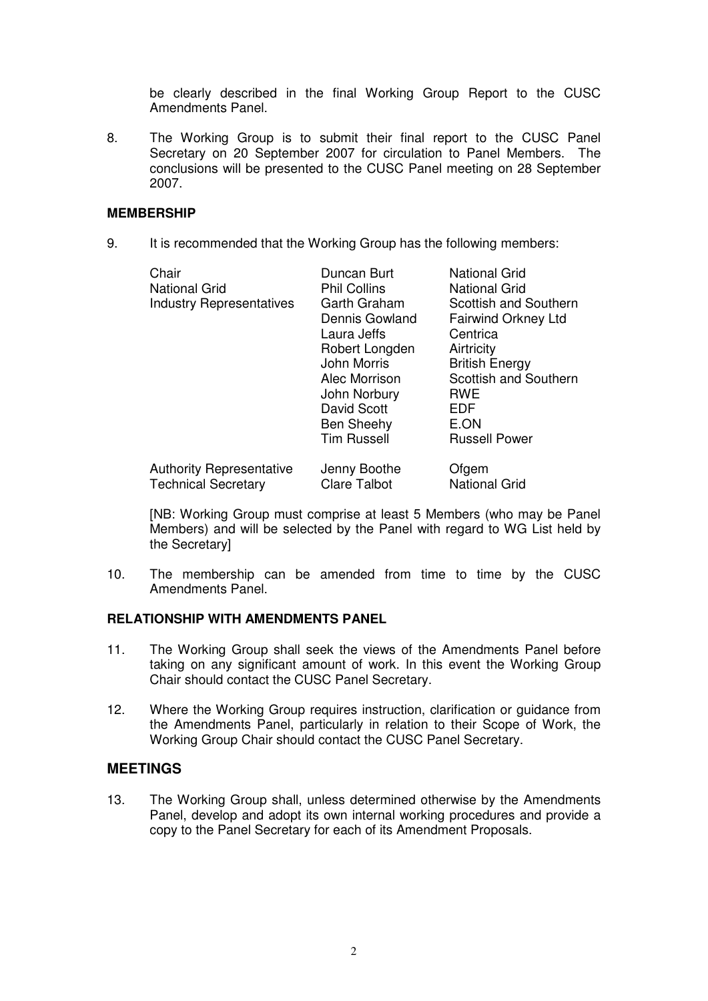be clearly described in the final Working Group Report to the CUSC Amendments Panel.

8. The Working Group is to submit their final report to the CUSC Panel Secretary on 20 September 2007 for circulation to Panel Members. The conclusions will be presented to the CUSC Panel meeting on 28 September 2007.

### **MEMBERSHIP**

9. It is recommended that the Working Group has the following members:

| Chair<br><b>National Grid</b><br><b>Industry Representatives</b> | Duncan Burt<br><b>Phil Collins</b><br>Garth Graham<br>Dennis Gowland<br>Laura Jeffs<br>Robert Longden<br>John Morris<br>Alec Morrison<br>John Norbury<br><b>David Scott</b><br><b>Ben Sheehy</b><br><b>Tim Russell</b> | <b>National Grid</b><br><b>National Grid</b><br>Scottish and Southern<br><b>Fairwind Orkney Ltd</b><br>Centrica<br>Airtricity<br><b>British Energy</b><br>Scottish and Southern<br><b>RWE</b><br>EDF<br>E.ON<br><b>Russell Power</b> |
|------------------------------------------------------------------|------------------------------------------------------------------------------------------------------------------------------------------------------------------------------------------------------------------------|--------------------------------------------------------------------------------------------------------------------------------------------------------------------------------------------------------------------------------------|
| <b>Authority Representative</b>                                  | Jenny Boothe                                                                                                                                                                                                           | Ofgem                                                                                                                                                                                                                                |
| <b>Technical Secretary</b>                                       | <b>Clare Talbot</b>                                                                                                                                                                                                    | <b>National Grid</b>                                                                                                                                                                                                                 |

 [NB: Working Group must comprise at least 5 Members (who may be Panel Members) and will be selected by the Panel with regard to WG List held by the Secretary]

10. The membership can be amended from time to time by the CUSC Amendments Panel.

# **RELATIONSHIP WITH AMENDMENTS PANEL**

- 11. The Working Group shall seek the views of the Amendments Panel before taking on any significant amount of work. In this event the Working Group Chair should contact the CUSC Panel Secretary.
- 12. Where the Working Group requires instruction, clarification or guidance from the Amendments Panel, particularly in relation to their Scope of Work, the Working Group Chair should contact the CUSC Panel Secretary.

# **MEETINGS**

13. The Working Group shall, unless determined otherwise by the Amendments Panel, develop and adopt its own internal working procedures and provide a copy to the Panel Secretary for each of its Amendment Proposals.